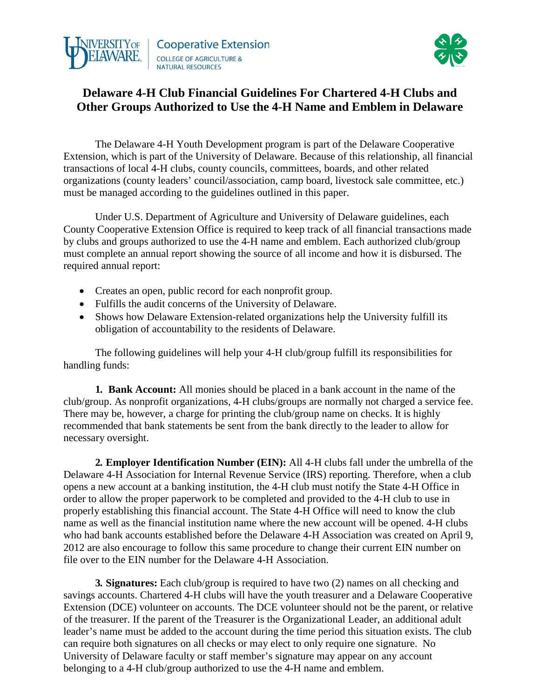



# **Delaware 4-H Club Financial Guidelines For Chartered 4-H Clubs and Other Groups Authorized to Use the 4-H Name and Emblem in Delaware**

The Delaware 4-H Youth Development program is part of the Delaware Cooperative Extension, which is part of the University of Delaware. Because of this relationship, all financial transactions of local 4-H clubs, county councils, committees, boards, and other related organizations (county leaders' council/association, camp board, livestock sale committee, etc.) must be managed according to the guidelines outlined in this paper.

Under U.S. Department of Agriculture and University of Delaware guidelines, each County Cooperative Extension Office is required to keep track of all financial transactions made by clubs and groups authorized to use the 4-H name and emblem. Each authorized club/group must complete an annual report showing the source of all income and how it is disbursed. The required annual report:

- Creates an open, public record for each nonprofit group.
- Fulfills the audit concerns of the University of Delaware.
- Shows how Delaware Extension-related organizations help the University fulfill its obligation of accountability to the residents of Delaware.

The following guidelines will help your 4-H club/group fulfill its responsibilities for handling funds:

**1. Bank Account:** All monies should be placed in a bank account in the name of the club/group. As nonprofit organizations, 4-H clubs/groups are normally not charged a service fee. There may be, however, a charge for printing the club/group name on checks. It is highly recommended that bank statements be sent from the bank directly to the leader to allow for necessary oversight.

**2. Employer Identification Number (EIN):** All 4-H clubs fall under the umbrella of the Delaware 4-H Association for Internal Revenue Service (IRS) reporting. Therefore, when a club opens a new account at a banking institution, the 4-H club must notify the State 4-H Office in order to allow the proper paperwork to be completed and provided to the 4-H club to use in properly establishing this financial account. The State 4-H Office will need to know the club name as well as the financial institution name where the new account will be opened. 4-H clubs who had bank accounts established before the Delaware 4-H Association was created on April 9, 2012 are also encourage to follow this same procedure to change their current EIN number on file over to the EIN number for the Delaware 4-H Association.

**3. Signatures:** Each club/group is required to have two (2) names on all checking and savings accounts. Chartered 4-H clubs will have the youth treasurer and a Delaware Cooperative Extension (DCE) volunteer on accounts. The DCE volunteer should not be the parent, or relative of the treasurer. If the parent of the Treasurer is the Organizational Leader, an additional adult leader's name must be added to the account during the time period this situation exists. The club can require both signatures on all checks or may elect to only require one signature. No University of Delaware faculty or staff member's signature may appear on any account belonging to a 4-H club/group authorized to use the 4-H name and emblem.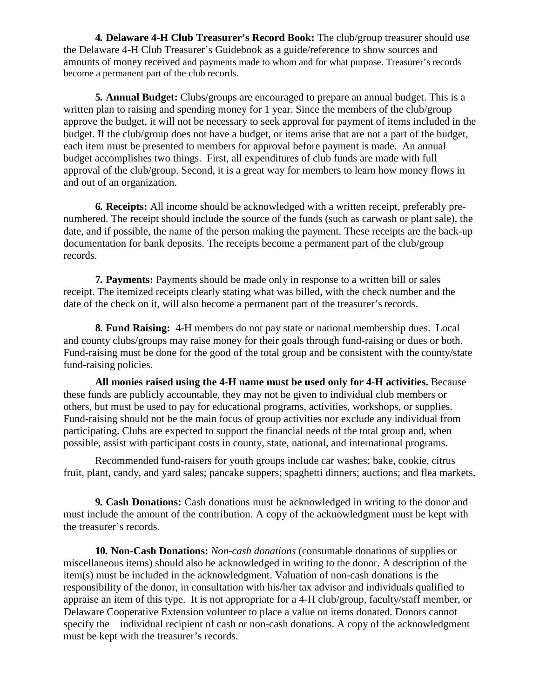**4. Delaware 4-H Club Treasurer's Record Book:** The club/group treasurer should use the Delaware 4-H Club Treasurer's Guidebook as a guide/reference to show sources and amounts of money received and payments made to whom and for what purpose. Treasurer's records become a permanent part of the club records.

**5. Annual Budget:** Clubs/groups are encouraged to prepare an annual budget. This is a written plan to raising and spending money for 1 year. Since the members of the club/group approve the budget, it will not be necessary to seek approval for payment of items included in the budget. If the club/group does not have a budget, or items arise that are not a part of the budget, each item must be presented to members for approval before payment is made. An annual budget accomplishes two things. First, all expenditures of club funds are made with full approval of the club/group. Second, it is a great way for members to learn how money flows in and out of an organization.

**6. Receipts:** All income should be acknowledged with a written receipt, preferably prenumbered. The receipt should include the source of the funds (such as carwash or plant sale), the date, and if possible, the name of the person making the payment. These receipts are the back-up documentation for bank deposits. The receipts become a permanent part of the club/group records.

**7. Payments:** Payments should be made only in response to a written bill or sales receipt. The itemized receipts clearly stating what was billed, with the check number and the date of the check on it, will also become a permanent part of the treasurer's records.

**8. Fund Raising:** 4-H members do not pay state or national membership dues. Local and county clubs/groups may raise money for their goals through fund-raising or dues or both. Fund-raising must be done for the good of the total group and be consistent with the county/state fund-raising policies.

**All monies raised using the 4-H name must be used only for 4-H activities.** Because these funds are publicly accountable, they may not be given to individual club members or others, but must be used to pay for educational programs, activities, workshops, or supplies. Fund-raising should not be the main focus of group activities nor exclude any individual from participating. Clubs are expected to support the financial needs of the total group and, when possible, assist with participant costs in county, state, national, and international programs.

Recommended fund-raisers for youth groups include car washes; bake, cookie, citrus fruit, plant, candy, and yard sales; pancake suppers; spaghetti dinners; auctions; and flea markets.

**9. Cash Donations:** Cash donations must be acknowledged in writing to the donor and must include the amount of the contribution. A copy of the acknowledgment must be kept with the treasurer's records.

**10. Non-Cash Donations:** *Non-cash donations* (consumable donations of supplies or miscellaneous items) should also be acknowledged in writing to the donor. A description of the item(s) must be included in the acknowledgment. Valuation of non-cash donations is the responsibility of the donor, in consultation with his/her tax advisor and individuals qualified to appraise an item of this type. It is not appropriate for a 4-H club/group, faculty/staff member, or Delaware Cooperative Extension volunteer to place a value on items donated. Donors cannot specify the individual recipient of cash or non-cash donations. A copy of the acknowledgment must be kept with the treasurer's records.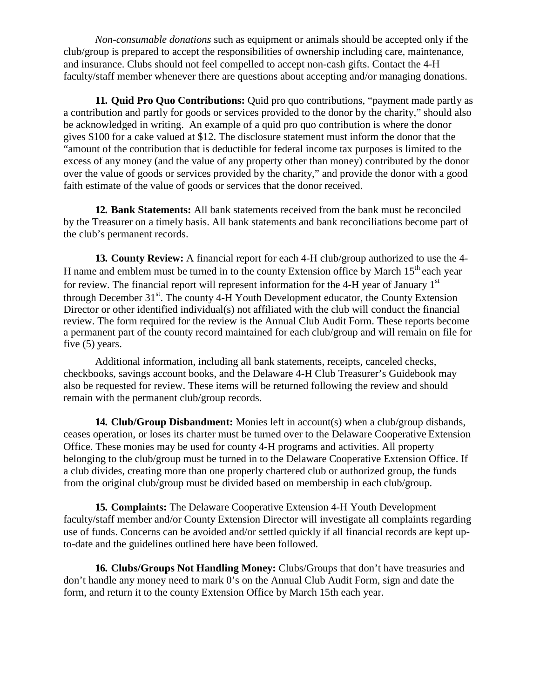*Non-consumable donations* such as equipment or animals should be accepted only if the club/group is prepared to accept the responsibilities of ownership including care, maintenance, and insurance. Clubs should not feel compelled to accept non-cash gifts. Contact the 4-H faculty/staff member whenever there are questions about accepting and/or managing donations.

**11. Quid Pro Quo Contributions:** Quid pro quo contributions, "payment made partly as a contribution and partly for goods or services provided to the donor by the charity," should also be acknowledged in writing. An example of a quid pro quo contribution is where the donor gives \$100 for a cake valued at \$12. The disclosure statement must inform the donor that the "amount of the contribution that is deductible for federal income tax purposes is limited to the excess of any money (and the value of any property other than money) contributed by the donor over the value of goods or services provided by the charity," and provide the donor with a good faith estimate of the value of goods or services that the donor received.

**12. Bank Statements:** All bank statements received from the bank must be reconciled by the Treasurer on a timely basis. All bank statements and bank reconciliations become part of the club's permanent records.

**13. County Review:** A financial report for each 4-H club/group authorized to use the 4- H name and emblem must be turned in to the county Extension office by March  $15<sup>th</sup>$  each year for review. The financial report will represent information for the 4-H year of January  $1<sup>st</sup>$ through December 31<sup>st</sup>. The county 4-H Youth Development educator, the County Extension Director or other identified individual(s) not affiliated with the club will conduct the financial review. The form required for the review is the Annual Club Audit Form. These reports become a permanent part of the county record maintained for each club/group and will remain on file for five (5) years.

Additional information, including all bank statements, receipts, canceled checks, checkbooks, savings account books, and the Delaware 4-H Club Treasurer's Guidebook may also be requested for review. These items will be returned following the review and should remain with the permanent club/group records.

**14. Club/Group Disbandment:** Monies left in account(s) when a club/group disbands, ceases operation, or loses its charter must be turned over to the Delaware Cooperative Extension Office. These monies may be used for county 4-H programs and activities. All property belonging to the club/group must be turned in to the Delaware Cooperative Extension Office. If a club divides, creating more than one properly chartered club or authorized group, the funds from the original club/group must be divided based on membership in each club/group.

**15. Complaints:** The Delaware Cooperative Extension 4-H Youth Development faculty/staff member and/or County Extension Director will investigate all complaints regarding use of funds. Concerns can be avoided and/or settled quickly if all financial records are kept upto-date and the guidelines outlined here have been followed.

**16. Clubs/Groups Not Handling Money:** Clubs/Groups that don't have treasuries and don't handle any money need to mark 0's on the Annual Club Audit Form, sign and date the form, and return it to the county Extension Office by March 15th each year.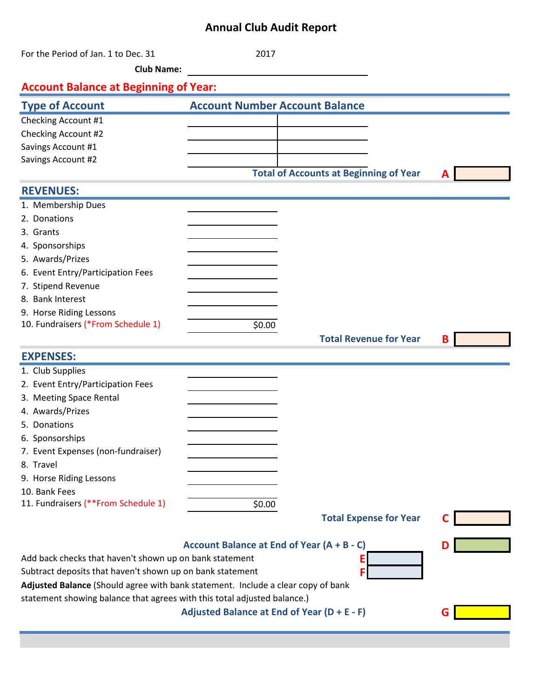# **Annual Club Audit Report**

| For the Period of Jan. 1 to Dec. 31                                                                                                                | 2017                                  |                                               |   |  |  |  |  |
|----------------------------------------------------------------------------------------------------------------------------------------------------|---------------------------------------|-----------------------------------------------|---|--|--|--|--|
| <b>Club Name:</b>                                                                                                                                  |                                       |                                               |   |  |  |  |  |
| <b>Account Balance at Beginning of Year:</b>                                                                                                       |                                       |                                               |   |  |  |  |  |
| <b>Type of Account</b>                                                                                                                             | <b>Account Number Account Balance</b> |                                               |   |  |  |  |  |
| Checking Account #1                                                                                                                                |                                       |                                               |   |  |  |  |  |
| Checking Account #2                                                                                                                                |                                       |                                               |   |  |  |  |  |
| Savings Account #1                                                                                                                                 |                                       |                                               |   |  |  |  |  |
| Savings Account #2                                                                                                                                 |                                       |                                               |   |  |  |  |  |
|                                                                                                                                                    |                                       | <b>Total of Accounts at Beginning of Year</b> |   |  |  |  |  |
| <b>REVENUES:</b>                                                                                                                                   |                                       |                                               |   |  |  |  |  |
| 1. Membership Dues                                                                                                                                 |                                       |                                               |   |  |  |  |  |
| 2. Donations                                                                                                                                       |                                       |                                               |   |  |  |  |  |
| 3. Grants                                                                                                                                          |                                       |                                               |   |  |  |  |  |
| 4. Sponsorships                                                                                                                                    |                                       |                                               |   |  |  |  |  |
| 5. Awards/Prizes                                                                                                                                   |                                       |                                               |   |  |  |  |  |
| 6. Event Entry/Participation Fees                                                                                                                  |                                       |                                               |   |  |  |  |  |
| 7. Stipend Revenue                                                                                                                                 |                                       |                                               |   |  |  |  |  |
| 8. Bank Interest                                                                                                                                   |                                       |                                               |   |  |  |  |  |
| 9. Horse Riding Lessons                                                                                                                            |                                       |                                               |   |  |  |  |  |
| 10. Fundraisers (*From Schedule 1)                                                                                                                 | \$0.00                                |                                               |   |  |  |  |  |
|                                                                                                                                                    |                                       | <b>Total Revenue for Year</b>                 | B |  |  |  |  |
| <b>EXPENSES:</b>                                                                                                                                   |                                       |                                               |   |  |  |  |  |
| 1. Club Supplies                                                                                                                                   |                                       |                                               |   |  |  |  |  |
| 2. Event Entry/Participation Fees                                                                                                                  |                                       |                                               |   |  |  |  |  |
| 3. Meeting Space Rental                                                                                                                            |                                       |                                               |   |  |  |  |  |
| 4. Awards/Prizes                                                                                                                                   |                                       |                                               |   |  |  |  |  |
| 5. Donations                                                                                                                                       |                                       |                                               |   |  |  |  |  |
| 6. Sponsorships                                                                                                                                    |                                       |                                               |   |  |  |  |  |
| 7. Event Expenses (non-fundraiser)                                                                                                                 |                                       |                                               |   |  |  |  |  |
| 8. Travel                                                                                                                                          |                                       |                                               |   |  |  |  |  |
| 9. Horse Riding Lessons                                                                                                                            |                                       |                                               |   |  |  |  |  |
| 10. Bank Fees                                                                                                                                      |                                       |                                               |   |  |  |  |  |
| 11. Fundraisers (**From Schedule 1)                                                                                                                | \$0.00                                |                                               |   |  |  |  |  |
|                                                                                                                                                    |                                       | <b>Total Expense for Year</b>                 |   |  |  |  |  |
|                                                                                                                                                    |                                       |                                               |   |  |  |  |  |
| Account Balance at End of Year (A + B - C)                                                                                                         |                                       |                                               |   |  |  |  |  |
| Add back checks that haven't shown up on bank statement<br>Ε                                                                                       |                                       |                                               |   |  |  |  |  |
| Subtract deposits that haven't shown up on bank statement<br>F<br>Adjusted Balance (Should agree with bank statement. Include a clear copy of bank |                                       |                                               |   |  |  |  |  |
| statement showing balance that agrees with this total adjusted balance.)                                                                           |                                       |                                               |   |  |  |  |  |
| Adjusted Balance at End of Year (D + E - F)<br>G                                                                                                   |                                       |                                               |   |  |  |  |  |
|                                                                                                                                                    |                                       |                                               |   |  |  |  |  |